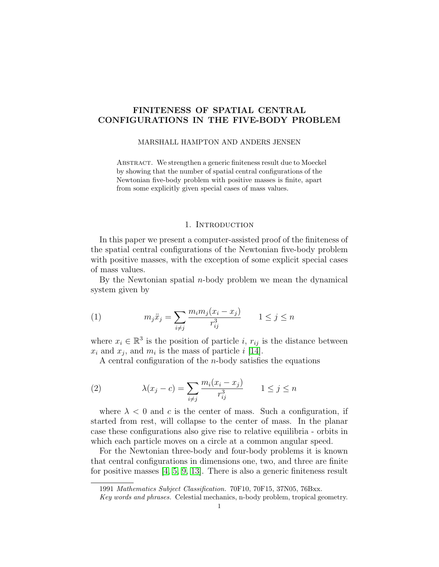# FINITENESS OF SPATIAL CENTRAL CONFIGURATIONS IN THE FIVE-BODY PROBLEM

# MARSHALL HAMPTON AND ANDERS JENSEN

ABSTRACT. We strengthen a generic finiteness result due to Moeckel by showing that the number of spatial central configurations of the Newtonian five-body problem with positive masses is finite, apart from some explicitly given special cases of mass values.

## 1. Introduction

In this paper we present a computer-assisted proof of the finiteness of the spatial central configurations of the Newtonian five-body problem with positive masses, with the exception of some explicit special cases of mass values.

By the Newtonian spatial  $n$ -body problem we mean the dynamical system given by

(1) 
$$
m_j \ddot{x}_j = \sum_{i \neq j} \frac{m_i m_j (x_i - x_j)}{r_{ij}^3} \qquad 1 \leq j \leq n
$$

where  $x_i \in \mathbb{R}^3$  is the position of particle *i*,  $r_{ij}$  is the distance between  $x_i$  and  $x_j$ , and  $m_i$  is the mass of particle i [\[14\]](#page-11-0).

A central configuration of the *n*-body satisfies the equations

(2) 
$$
\lambda(x_j - c) = \sum_{i \neq j} \frac{m_i (x_i - x_j)}{r_{ij}^3} \qquad 1 \leq j \leq n
$$

where  $\lambda < 0$  and c is the center of mass. Such a configuration, if started from rest, will collapse to the center of mass. In the planar case these configurations also give rise to relative equilibria - orbits in which each particle moves on a circle at a common angular speed.

For the Newtonian three-body and four-body problems it is known that central configurations in dimensions one, two, and three are finite for positive masses [\[4,](#page-11-1) [5,](#page-11-2) [9,](#page-11-3) [13\]](#page-11-4). There is also a generic finiteness result

<sup>1991</sup> Mathematics Subject Classification. 70F10, 70F15, 37N05, 76Bxx.

Key words and phrases. Celestial mechanics, n-body problem, tropical geometry.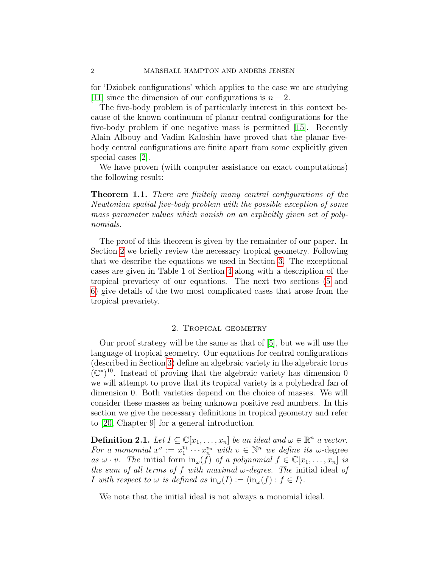for 'Dziobek configurations' which applies to the case we are studying [\[11\]](#page-11-5) since the dimension of our configurations is  $n-2$ .

The five-body problem is of particularly interest in this context because of the known continuum of planar central configurations for the five-body problem if one negative mass is permitted [\[15\]](#page-11-6). Recently Alain Albouy and Vadim Kaloshin have proved that the planar fivebody central configurations are finite apart from some explicitly given special cases [\[2\]](#page-11-7).

We have proven (with computer assistance on exact computations) the following result:

Theorem 1.1. There are finitely many central configurations of the Newtonian spatial five-body problem with the possible exception of some mass parameter values which vanish on an explicitly given set of polynomials.

The proof of this theorem is given by the remainder of our paper. In Section [2](#page-1-0) we briefly review the necessary tropical geometry. Following that we describe the equations we used in Section [3.](#page-3-0) The exceptional cases are given in Table 1 of Section [4](#page-4-0) along with a description of the tropical prevariety of our equations. The next two sections [\(5](#page-5-0) and [6\)](#page-8-0) give details of the two most complicated cases that arose from the tropical prevariety.

# 2. Tropical geometry

<span id="page-1-0"></span>Our proof strategy will be the same as that of [\[5\]](#page-11-2), but we will use the language of tropical geometry. Our equations for central configurations (described in Section [3\)](#page-3-0) define an algebraic variety in the algebraic torus  $(C^*)^{10}$ . Instead of proving that the algebraic variety has dimension 0 we will attempt to prove that its tropical variety is a polyhedral fan of dimension 0. Both varieties depend on the choice of masses. We will consider these masses as being unknown positive real numbers. In this section we give the necessary definitions in tropical geometry and refer to [\[20,](#page-11-8) Chapter 9] for a general introduction.

**Definition 2.1.** Let  $I \subseteq \mathbb{C}[x_1,\ldots,x_n]$  be an ideal and  $\omega \in \mathbb{R}^n$  a vector. For a monomial  $x^v := x_1^{v_1} \cdots x_n^{v_n}$  with  $v \in \mathbb{N}^n$  we define its  $\omega$ -degree as  $\omega \cdot v$ . The initial form  $\text{in}_{\omega}(f)$  of a polynomial  $f \in \mathbb{C}[x_1, \ldots, x_n]$  is the sum of all terms of f with maximal  $\omega$ -degree. The initial ideal of I with respect to  $\omega$  is defined as  $\text{in}_{\omega}(I) := \langle \text{in}_{\omega}(f) : f \in I \rangle$ .

We note that the initial ideal is not always a monomial ideal.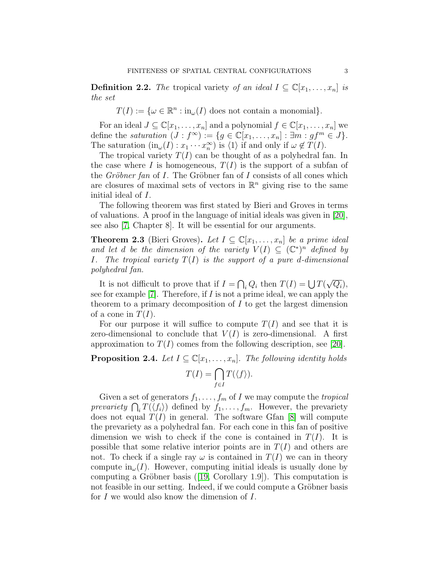**Definition 2.2.** The tropical variety of an ideal  $I \subseteq \mathbb{C}[x_1,\ldots,x_n]$  is the set

 $T(I) := \{ \omega \in \mathbb{R}^n : \text{in}_{\omega}(I) \text{ does not contain a monomial} \}.$ 

For an ideal  $J \subseteq \mathbb{C}[x_1,\ldots,x_n]$  and a polynomial  $f \in \mathbb{C}[x_1,\ldots,x_n]$  we define the saturation  $(J : f^{\infty}) := \{ g \in \mathbb{C}[x_1, \ldots, x_n] : \exists m : gf^m \in J \}.$ The saturation  $(in_{\omega}(I): x_1 \cdots x_n^{\infty})$  is  $\langle 1 \rangle$  if and only if  $\omega \notin T(I)$ .

The tropical variety  $T(I)$  can be thought of as a polyhedral fan. In the case where I is homogeneous,  $T(I)$  is the support of a subfan of the *Gröbner fan* of I. The Gröbner fan of I consists of all cones which are closures of maximal sets of vectors in  $\mathbb{R}^n$  giving rise to the same initial ideal of I.

The following theorem was first stated by Bieri and Groves in terms of valuations. A proof in the language of initial ideals was given in [\[20\]](#page-11-8), see also [\[7,](#page-11-9) Chapter 8]. It will be essential for our arguments.

**Theorem 2.3** (Bieri Groves). Let  $I \subseteq \mathbb{C}[x_1,\ldots,x_n]$  be a prime ideal and let d be the dimension of the variety  $V(I) \subseteq (\mathbb{C}^*)^n$  defined by I. The tropical variety  $T(I)$  is the support of a pure d-dimensional polyhedral fan.

It is not difficult to prove that if  $I = \bigcap_i Q_i$  then  $T(I) = \bigcup T(I)$ √  $\overline{Q_i}),$ see for example [\[7\]](#page-11-9). Therefore, if  $I$  is not a prime ideal, we can apply the theorem to a primary decomposition of  $I$  to get the largest dimension of a cone in  $T(I)$ .

For our purpose it will suffice to compute  $T(I)$  and see that it is zero-dimensional to conclude that  $V(I)$  is zero-dimensional. A first approximation to  $T(I)$  comes from the following description, see [\[20\]](#page-11-8).

**Proposition 2.4.** Let  $I \subseteq \mathbb{C}[x_1,\ldots,x_n]$ . The following identity holds

$$
T(I) = \bigcap_{f \in I} T(\langle f \rangle).
$$

Given a set of generators  $f_1, \ldots, f_m$  of I we may compute the *tropical* prevariety  $\bigcap_i T(\langle f_i \rangle)$  defined by  $f_1, \ldots, f_m$ . However, the prevariety does not equal  $T(I)$  in general. The software Gfan [\[8\]](#page-11-10) will compute the prevariety as a polyhedral fan. For each cone in this fan of positive dimension we wish to check if the cone is contained in  $T(I)$ . It is possible that some relative interior points are in  $T(I)$  and others are not. To check if a single ray  $\omega$  is contained in  $T(I)$  we can in theory compute  $\text{in}_{\omega}(I)$ . However, computing initial ideals is usually done by computing a Gröbner basis  $([19, Corollary 1.9])$  $([19, Corollary 1.9])$  $([19, Corollary 1.9])$ . This computation is not feasible in our setting. Indeed, if we could compute a Gröbner basis for I we would also know the dimension of I.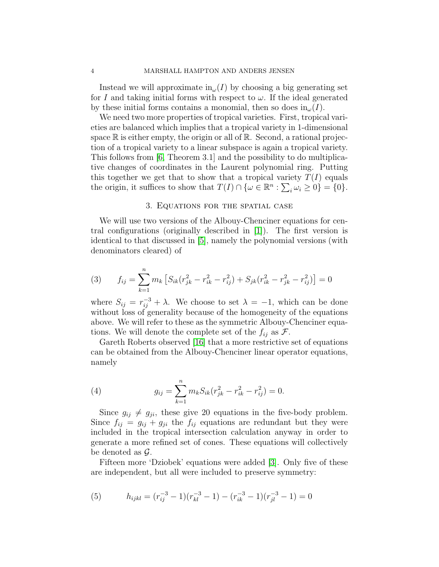Instead we will approximate  $\text{in}_{\omega}(I)$  by choosing a big generating set for I and taking initial forms with respect to  $\omega$ . If the ideal generated by these initial forms contains a monomial, then so does  $\text{in}_{\omega}(I)$ .

We need two more properties of tropical varieties. First, tropical varieties are balanced which implies that a tropical variety in 1-dimensional space  $\mathbb R$  is either empty, the origin or all of  $\mathbb R$ . Second, a rational projection of a tropical variety to a linear subspace is again a tropical variety. This follows from [\[6,](#page-11-12) Theorem 3.1] and the possibility to do multiplicative changes of coordinates in the Laurent polynomial ring. Putting this together we get that to show that a tropical variety  $T(I)$  equals the origin, it suffices to show that  $T(I) \cap \{ \omega \in \mathbb{R}^n : \sum_i \omega_i \geq 0 \} = \{ 0 \}.$ 

# 3. Equations for the spatial case

<span id="page-3-0"></span>We will use two versions of the Albouy-Chenciner equations for central configurations (originally described in [\[1\]](#page-11-13)). The first version is identical to that discussed in [\[5\]](#page-11-2), namely the polynomial versions (with denominators cleared) of

(3) 
$$
f_{ij} = \sum_{k=1}^{n} m_k \left[ S_{ik} (r_{jk}^2 - r_{ik}^2 - r_{ij}^2) + S_{jk} (r_{ik}^2 - r_{jk}^2 - r_{ij}^2) \right] = 0
$$

where  $S_{ij} = r_{ij}^{-3} + \lambda$ . We choose to set  $\lambda = -1$ , which can be done without loss of generality because of the homogeneity of the equations above. We will refer to these as the symmetric Albouy-Chenciner equations. We will denote the complete set of the  $f_{ij}$  as  $\mathcal{F}$ .

Gareth Roberts observed [\[16\]](#page-11-14) that a more restrictive set of equations can be obtained from the Albouy-Chenciner linear operator equations, namely

(4) 
$$
g_{ij} = \sum_{k=1}^{n} m_k S_{ik} (r_{jk}^2 - r_{ik}^2 - r_{ij}^2) = 0.
$$

Since  $g_{ij} \neq g_{ji}$ , these give 20 equations in the five-body problem. Since  $f_{ij} = g_{ij} + g_{ji}$  the  $f_{ij}$  equations are redundant but they were included in the tropical intersection calculation anyway in order to generate a more refined set of cones. These equations will collectively be denoted as  $\mathcal{G}$ .

Fifteen more 'Dziobek' equations were added [\[3\]](#page-11-15). Only five of these are independent, but all were included to preserve symmetry:

(5) 
$$
h_{ijkl} = (r_{ij}^{-3} - 1)(r_{kl}^{-3} - 1) - (r_{ik}^{-3} - 1)(r_{jl}^{-3} - 1) = 0
$$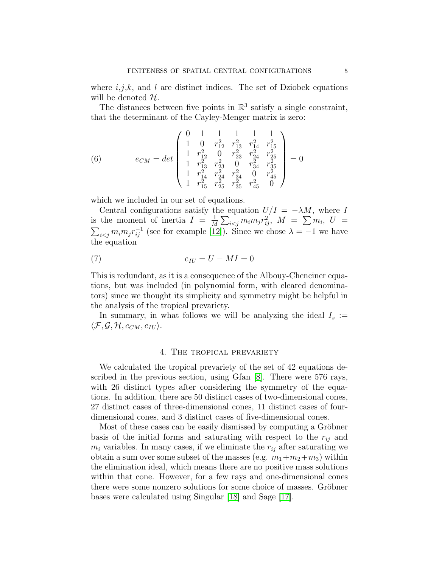where  $i, j, k$ , and l are distinct indices. The set of Dziobek equations will be denoted  $H$ .

The distances between five points in  $\mathbb{R}^3$  satisfy a single constraint, that the determinant of the Cayley-Menger matrix is zero:

(6) 
$$
e_{CM} = det \begin{pmatrix} 0 & 1 & 1 & 1 & 1 & 1 \\ 1 & 0 & r_{12}^2 & r_{13}^2 & r_{14}^2 & r_{15}^2 \\ 1 & r_{12}^2 & 0 & r_{23}^2 & r_{24}^2 & r_{25}^2 \\ 1 & r_{13}^2 & r_{23}^2 & 0 & r_{34}^2 & r_{35}^2 \\ 1 & r_{14}^2 & r_{24}^2 & r_{34}^2 & 0 & r_{45}^2 \\ 1 & r_{15}^2 & r_{25}^2 & r_{35}^2 & r_{45}^2 & 0 \end{pmatrix} = 0
$$

which we included in our set of equations.

Central configurations satisfy the equation  $U/I = -\lambda M$ , where I is the moment of inertia  $I = \frac{1}{N}$  $\frac{1}{M}\sum_{i < j} m_i m_j r_{ij}^2, \ \ M \ = \ \sum m_i, \ \ U \ =$  $\sum_{i \leq j} m_i m_j r_{ij}^{-1}$  (see for example [\[12\]](#page-11-16)). Since we chose  $\lambda = -1$  we have the equation

$$
e_{IU} = U - MI = 0
$$

This is redundant, as it is a consequence of the Albouy-Chenciner equations, but was included (in polynomial form, with cleared denominators) since we thought its simplicity and symmetry might be helpful in the analysis of the tropical prevariety.

In summary, in what follows we will be analyzing the ideal  $I_s :=$  $\langle \mathcal{F}, \mathcal{G}, \mathcal{H}, e_{CM}, e_{IU} \rangle$ .

### 4. The tropical prevariety

<span id="page-4-0"></span>We calculated the tropical prevariety of the set of 42 equations described in the previous section, using Gfan [\[8\]](#page-11-10). There were 576 rays, with 26 distinct types after considering the symmetry of the equations. In addition, there are 50 distinct cases of two-dimensional cones, 27 distinct cases of three-dimensional cones, 11 distinct cases of fourdimensional cones, and 3 distinct cases of five-dimensional cones.

Most of these cases can be easily dismissed by computing a Gröbner basis of the initial forms and saturating with respect to the  $r_{ij}$  and  $m_i$  variables. In many cases, if we eliminate the  $r_{ij}$  after saturating we obtain a sum over some subset of the masses (e.g.  $m_1+m_2+m_3$ ) within the elimination ideal, which means there are no positive mass solutions within that cone. However, for a few rays and one-dimensional cones there were some nonzero solutions for some choice of masses. Gröbner bases were calculated using Singular [\[18\]](#page-11-17) and Sage [\[17\]](#page-11-18).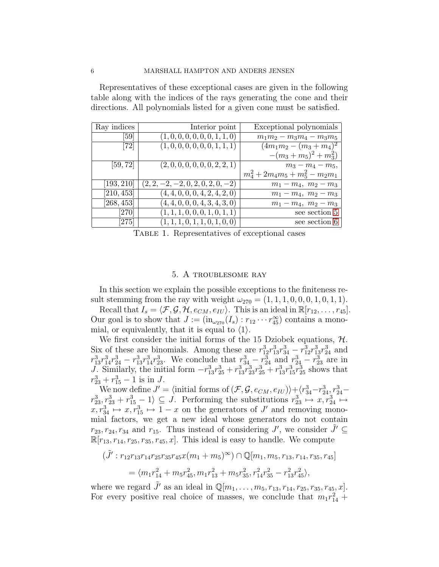Representatives of these exceptional cases are given in the following table along with the indices of the rays generating the cone and their directions. All polynomials listed for a given cone must be satisfied.

| Ray indices                  | Interior point                      | Exceptional polynomials            |
|------------------------------|-------------------------------------|------------------------------------|
| [59]                         | (1, 0, 0, 0, 0, 0, 0, 1, 1, 0)      | $m_1m_2 - m_3m_4 - m_3m_5$         |
| $\left\lceil 72\right\rceil$ | (1, 0, 0, 0, 0, 0, 0, 1, 1, 1)      | $(4m_1m_2-(m_3+m_4)^2)$            |
|                              |                                     | $-(m_3+m_5)^2+m_3^2$               |
| [59, 72]                     | (2,0,0,0,0,0,0,2,2,1)               | $m_3 - m_4 - m_5$                  |
|                              |                                     | $m_4^2 + 2m_4m_5 + m_5^2 - m_2m_1$ |
| $\left[193,210\right]$       | $(2, 2, -2, -2, 0, 2, 0, 2, 0, -2)$ | $m_1 - m_4$ , $m_2 - m_3$          |
| [210, 453]                   | (4, 4, 0, 0, 0, 4, 2, 4, 2, 0)      | $m_1 - m_4$ , $m_2 - m_3$          |
| [268, 453]                   | (4, 4, 0, 0, 0, 4, 3, 4, 3, 0)      | $m_1 - m_4$ , $m_2 - m_3$          |
| $\left[ 270\right]$          | (1, 1, 1, 0, 0, 0, 1, 0, 1, 1)      | see section 5                      |
| [275]                        | (1, 1, 1, 0, 1, 1, 0, 1, 0, 0)      | see section 6                      |

Table 1. Representatives of exceptional cases

# 5. A troublesome ray

<span id="page-5-0"></span>In this section we explain the possible exceptions to the finiteness result stemming from the ray with weight  $\omega_{270} = (1, 1, 1, 0, 0, 0, 1, 0, 1, 1)$ .

Recall that  $I_s = \langle \mathcal{F}, \mathcal{G}, \mathcal{H}, e_{CM}, e_{IU} \rangle$ . This is an ideal in  $\mathbb{R}[r_{12}, \ldots, r_{45}]$ . Our goal is to show that  $J := (\text{in}_{\omega_{270}}(I_s) : r_{12} \cdots r_{45}^{\infty})$  contains a monomial, or equivalently, that it is equal to  $\langle 1 \rangle$ .

We first consider the initial forms of the 15 Dziobek equations,  $H$ . Six of these are binomials. Among these are  $r_{12}^3 r_{13}^3 r_{34}^3 - r_{12}^3 r_{13}^3 r_{24}^3$  and  $r_{13}^3 r_{14}^3 r_{24}^3 - r_{13}^3 r_{14}^3 r_{23}^3$ . We conclude that  $r_{34}^3 - r_{24}^3$  and  $r_{24}^3 - r_{23}^3$  are in J. Similarly, the initial form  $-r_{13}^3r_{25}^3 + r_{13}^3r_{23}^3r_{25}^3 + r_{13}^3r_{15}^3r_{25}^3$  shows that  $r_{23}^3 + r_{15}^3 - 1$  is in J.

We now define  $J' = \langle$  initial forms of  $(\mathcal{F}, \mathcal{G}, e_{CM}, e_{IU})\rangle + \langle r_{34}^3 - r_{24}^3, r_{24}^3$  $r_{23}^3, r_{23}^3 + r_{15}^3 - 1 \rangle \subseteq J$ . Performing the substitutions  $r_{23}^3 \mapsto x, r_{24}^3 \mapsto$  $x, r_{34}^3 \mapsto x, r_{15}^3 \mapsto 1-x$  on the generators of J' and removing monomial factors, we get a new ideal whose generators do not contain  $r_{23}, r_{24}, r_{34}$  and  $r_{15}$ . Thus instead of considering J', we consider  $\tilde{J}' \subseteq$  $\mathbb{R}[r_{13}, r_{14}, r_{25}, r_{35}, r_{45}, x]$ . This ideal is easy to handle. We compute

$$
\begin{aligned} (\tilde{J}': r_{12}r_{13}r_{14}r_{25}r_{35}r_{45}x(m_1+m_5)^{\infty}) \cap \mathbb{Q}[m_1, m_5, r_{13}, r_{14}, r_{35}, r_{45}] \\ &= \langle m_1r_{14}^2 + m_5r_{45}^2, m_1r_{13}^2 + m_5r_{35}^2, r_{14}^2r_{35}^2 - r_{13}^2r_{45}^2 \rangle, \end{aligned}
$$

where we regard  $\tilde{J}'$  as an ideal in  $\mathbb{Q}[m_1, \ldots, m_5, r_{13}, r_{14}, r_{25}, r_{35}, r_{45}, x]$ . For every positive real choice of masses, we conclude that  $m_1 r_{14}^2$  +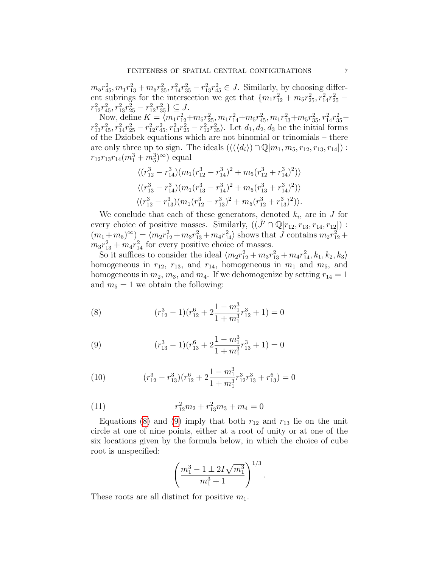$m_5r_{45}^2, m_1r_{13}^2 + m_5r_{35}^2, r_{14}^2r_{35}^2 - r_{13}^2r_{45}^2 \in J$ . Similarly, by choosing different subrings for the intersection we get that  $\{m_1r_{12}^2 + m_5r_{25}^2, r_{14}^2r_{25}^2$  $r_{12}^2 r_{45}^2, r_{13}^2 r_{25}^2 - r_{12}^2 r_{35}^2 \} \subseteq J.$ 

Now, define  $K = \langle m_1 r_{12}^2 + m_5 r_{25}^2, m_1 r_{14}^2 + m_5 r_{45}^2, m_1 r_{13}^2 + m_5 r_{35}^2, r_{14}^2 r_{35}^2$  $r_{13}^2r_{45}^2$ ,  $r_{14}^2r_{25}^2 - r_{12}^2r_{45}^2$ ,  $r_{13}^2r_{25}^2 - r_{12}^2r_{35}^2$ . Let  $d_1, d_2, d_3$  be the initial forms of the Dziobek equations which are not binomial or trinomials – there are only three up to sign. The ideals  $(((\langle d_i \rangle) \cap \mathbb{Q}[m_1, m_5, r_{12}, r_{13}, r_{14}])$ :  $r_{12}r_{13}r_{14}(m_1^3+m_5^3)^\infty$  equal

$$
\langle (r_{12}^3 - r_{14}^3)(m_1(r_{12}^3 - r_{14}^3)^2 + m_5(r_{12}^3 + r_{14}^3)^2) \rangle
$$
  

$$
\langle (r_{13}^3 - r_{14}^3)(m_1(r_{13}^3 - r_{14}^3)^2 + m_5(r_{13}^3 + r_{14}^3)^2) \rangle
$$
  

$$
\langle (r_{12}^3 - r_{13}^3)(m_1(r_{12}^3 - r_{13}^3)^2 + m_5(r_{12}^3 + r_{13}^3)^2) \rangle.
$$

We conclude that each of these generators, denoted  $k_i$ , are in  $J$  for every choice of positive masses. Similarly,  $((\tilde{J}' \cap \mathbb{Q}[r_{12}, r_{13}, r_{14}, r_{12}])$ :  $(m_1 + m_5)^\infty$  =  $\langle m_2 r_{12}^2 + m_3 r_{13}^2 + m_4 r_{14}^2 \rangle$  shows that J contains  $m_2 r_{12}^2 +$  $m_3r_{13}^2 + m_4r_{14}^2$  for every positive choice of masses.

So it suffices to consider the ideal  $\langle m_2 r_{12}^2 + m_3 r_{13}^2 + m_4 r_{14}^2, k_1, k_2, k_3 \rangle$ homogeneous in  $r_{12}$ ,  $r_{13}$ , and  $r_{14}$ , homogeneous in  $m_1$  and  $m_5$ , and homogeneous in  $m_2$ ,  $m_3$ , and  $m_4$ . If we dehomogenize by setting  $r_{14} = 1$ and  $m_5 = 1$  we obtain the following:

<span id="page-6-0"></span>(8) 
$$
(r_{12}^3 - 1)(r_{12}^6 + 2\frac{1 - m_1^3}{1 + m_1^3}r_{12}^3 + 1) = 0
$$

<span id="page-6-1"></span>(9) 
$$
(r_{13}^3 - 1)(r_{13}^6 + 2\frac{1 - m_1^3}{1 + m_1^3}r_{13}^3 + 1) = 0
$$

<span id="page-6-2"></span>(10) 
$$
(r_{12}^3 - r_{13}^3)(r_{12}^6 + 2\frac{1 - m_1^3}{1 + m_1^3}r_{12}^3r_{13}^3 + r_{13}^6) = 0
$$

(11) 
$$
r_{12}^2 m_2 + r_{13}^2 m_3 + m_4 = 0
$$

Equations [\(8\)](#page-6-0) and [\(9\)](#page-6-1) imply that both  $r_{12}$  and  $r_{13}$  lie on the unit circle at one of nine points, either at a root of unity or at one of the six locations given by the formula below, in which the choice of cube root is unspecified:

<span id="page-6-3"></span>
$$
\left(\frac{m_1^3 - 1 \pm 2I\sqrt{m_1^3}}{m_1^3 + 1}\right)^{1/3}.
$$

These roots are all distinct for positive  $m_1$ .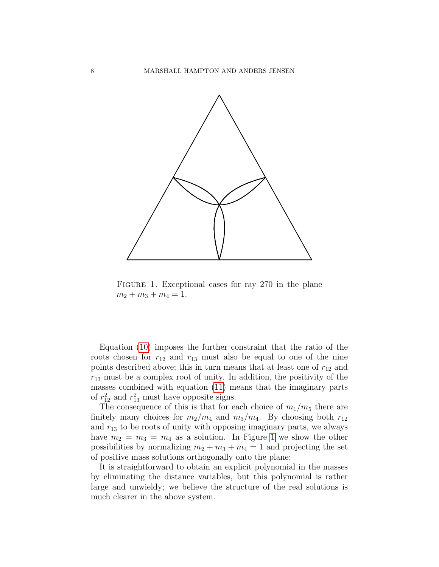

<span id="page-7-0"></span>FIGURE 1. Exceptional cases for ray 270 in the plane  $m_2 + m_3 + m_4 = 1.$ 

Equation [\(10\)](#page-6-2) imposes the further constraint that the ratio of the roots chosen for  $r_{12}$  and  $r_{13}$  must also be equal to one of the nine points described above; this in turn means that at least one of  $r_{12}$  and  $r_{13}$  must be a complex root of unity. In addition, the positivity of the masses combined with equation [\(11\)](#page-6-3) means that the imaginary parts of  $r_{12}^2$  and  $r_{13}^2$  must have opposite signs.

The consequence of this is that for each choice of  $m_1/m_5$  there are finitely many choices for  $m_2/m_4$  and  $m_3/m_4$ . By choosing both  $r_{12}$ and  $r_{13}$  to be roots of unity with opposing imaginary parts, we always have  $m_2 = m_3 = m_4$  as a solution. In Figure [1](#page-7-0) we show the other possibilities by normalizing  $m_2 + m_3 + m_4 = 1$  and projecting the set of positive mass solutions orthogonally onto the plane:

It is straightforward to obtain an explicit polynomial in the masses by eliminating the distance variables, but this polynomial is rather large and unwieldy; we believe the structure of the real solutions is much clearer in the above system.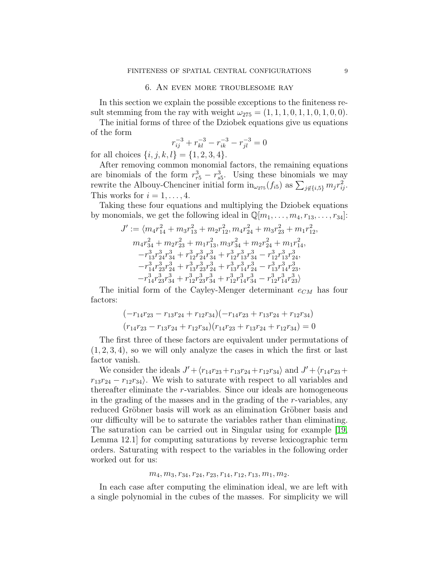# 6. An even more troublesome ray

<span id="page-8-0"></span>In this section we explain the possible exceptions to the finiteness result stemming from the ray with weight  $\omega_{275} = (1, 1, 1, 0, 1, 1, 0, 1, 0, 0)$ .

The initial forms of three of the Dziobek equations give us equations of the form

$$
r_{ij}^{-3} + r_{kl}^{-3} - r_{ik}^{-3} - r_{jl}^{-3} = 0
$$

for all choices  $\{i, j, k, l\} = \{1, 2, 3, 4\}.$ 

After removing common monomial factors, the remaining equations are binomials of the form  $r_{r5}^3 - r_{s5}^3$ . Using these binomials we may rewrite the Albouy-Chenciner initial form  $\text{in}_{\omega_{275}}(f_{i5})$  as  $\sum_{j \notin \{i,5\}} m_j r_{ij}^2$ . This works for  $i = 1, \ldots, 4$ .

Taking these four equations and multiplying the Dziobek equations by monomials, we get the following ideal in  $\mathbb{Q}[m_1, \ldots, m_4, r_{13}, \ldots, r_{34}]$ :

$$
\begin{aligned} J' &:= \langle m_4r_{14}^2+m_3r_{13}^2+m_2r_{12}^2,m_4r_{24}^2+m_3r_{23}^2+m_1r_{12}^2, \\ m_4r_{34}^2+m_2r_{23}^2+m_1r_{13}^2,m_3r_{34}^2+m_2r_{24}^2+m_1r_{14}^2, \\ -r_{13}^3r_{24}^3r_{34}^3+r_{12}^3r_{24}^3r_{34}^3+r_{12}^3r_{13}^3r_{34}^3-r_{12}^3r_{13}^3r_{24}^3, \\ -r_{14}^3r_{23}^3r_{24}^3+r_{13}^3r_{23}^3r_{24}^3+r_{13}^3r_{14}^3r_{24}^3-r_{13}^3r_{14}^3r_{23}^3, \\ -r_{14}^3r_{23}^3r_{34}^3+r_{12}^3r_{23}^3r_{34}^3+r_{12}^3r_{14}^3r_{34}^3-r_{12}^3r_{14}^3r_{23}^3 \rangle \end{aligned}
$$

The initial form of the Cayley-Menger determinant  $e_{CM}$  has four factors:

$$
(-r_{14}r_{23} - r_{13}r_{24} + r_{12}r_{34})(-r_{14}r_{23} + r_{13}r_{24} + r_{12}r_{34})
$$

$$
(r_{14}r_{23} - r_{13}r_{24} + r_{12}r_{34})(r_{14}r_{23} + r_{13}r_{24} + r_{12}r_{34}) = 0
$$

The first three of these factors are equivalent under permutations of  $(1, 2, 3, 4)$ , so we will only analyze the cases in which the first or last factor vanish.

We consider the ideals  $J' + \langle r_{14}r_{23} + r_{13}r_{24} + r_{12}r_{34} \rangle$  and  $J' + \langle r_{14}r_{23} + r_{12}r_{34} + r_{12}r_{34} \rangle$  $r_{13}r_{24} - r_{12}r_{34}$ . We wish to saturate with respect to all variables and thereafter eliminate the r-variables. Since our ideals are homogeneous in the grading of the masses and in the grading of the r-variables, any reduced Gröbner basis will work as an elimination Gröbner basis and our difficulty will be to saturate the variables rather than eliminating. The saturation can be carried out in Singular using for example [\[19,](#page-11-11) Lemma 12.1] for computing saturations by reverse lexicographic term orders. Saturating with respect to the variables in the following order worked out for us:

#### $m_4, m_3, r_{34}, r_{24}, r_{23}, r_{14}, r_{12}, r_{13}, m_1, m_2.$

In each case after computing the elimination ideal, we are left with a single polynomial in the cubes of the masses. For simplicity we will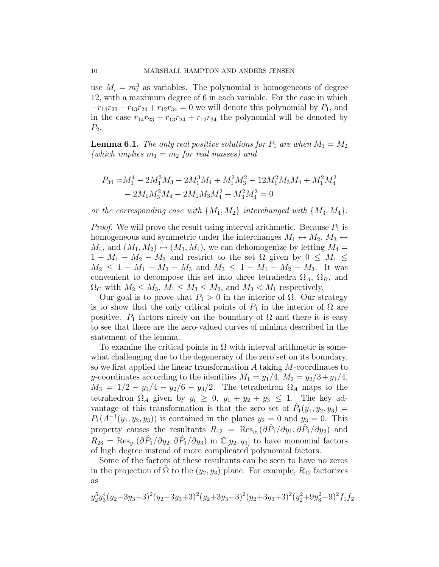use  $M_i = m_i^3$  as variables. The polynomial is homogeneous of degree 12, with a maximum degree of 6 in each variable. For the case in which  $-r_{14}r_{23}-r_{13}r_{24}+r_{12}r_{34}=0$  we will denote this polynomial by  $P_1$ , and in the case  $r_{14}r_{23} + r_{13}r_{24} + r_{12}r_{34}$  the polynomial will be denoted by  $P_2$ .

**Lemma 6.1.** The only real positive solutions for  $P_1$  are when  $M_1 = M_2$ (which implies  $m_1 = m_2$  for real masses) and

$$
\begin{split} P_{34}=&M_1^4-2M_1^3M_3-2M_1^3M_4+M_1^2M_3^2-12M_1^2M_3M_4+M_1^2M_4^2\\ &-2M_1M_3^2M_4-2M_1M_3M_4^2+M_3^2M_4^2=0 \end{split}
$$

or the corresponding case with  $\{M_1, M_2\}$  interchanged with  $\{M_3, M_4\}$ .

*Proof.* We will prove the result using interval arithmetic. Because  $P_1$  is homogeneous and symmetric under the interchanges  $M_1 \leftrightarrow M_2$ ,  $M_3 \leftrightarrow$  $M_4$ , and  $(M_1, M_2) \leftrightarrow (M_3, M_4)$ , we can dehomogenize by letting  $M_4 =$  $1 - M_1 - M_2 - M_3$  and restrict to the set  $\Omega$  given by  $0 \leq M_1 \leq$  $M_2 \leq 1 - M_1 - M_2 - M_3$  and  $M_3 \leq 1 - M_1 - M_2 - M_3$ . It was convenient to decompose this set into three tetrahedra  $\Omega_A$ ,  $\Omega_B$ , and  $\Omega_C$  with  $M_2 \leq M_3$ ,  $M_1 \leq M_3 \leq M_2$ , and  $M_3 < M_1$  respectively.

Our goal is to prove that  $P_1 > 0$  in the interior of  $\Omega$ . Our strategy is to show that the only critical points of  $P_1$  in the interior of  $\Omega$  are positive.  $P_1$  factors nicely on the boundary of  $\Omega$  and there it is easy to see that there are the zero-valued curves of minima described in the statement of the lemma.

To examine the critical points in  $\Omega$  with interval arithmetic is somewhat challenging due to the degeneracy of the zero set on its boundary, so we first applied the linear transformation A taking M-coordinates to y-coordinates according to the identities  $M_1 = y_1/4$ ,  $M_2 = y_2/3 + y_1/4$ ,  $M_3 = 1/2 - y_1/4 - y_2/6 - y_3/2$ . The tetrahedron  $\Omega_A$  maps to the tetrahedron  $\hat{\Omega}_A$  given by  $y_i \geq 0$ ,  $y_1 + y_2 + y_3 \leq 1$ . The key advantage of this transformation is that the zero set of  $\hat{P}_1(y_1, y_2, y_3)$  =  $P_1(A^{-1}(y_1, y_2, y_3))$  is contained in the planes  $y_2 = 0$  and  $y_3 = 0$ . This property causes the resultants  $R_{12} = \text{Res}_{y_1}(\partial \hat{P}_1/\partial y_1, \partial \hat{P}_1/\partial y_2)$  and  $R_{23} = \text{Res}_{y_1}(\partial \hat{P}_1/\partial y_2, \partial \hat{P}_1/\partial y_3)$  in  $\mathbb{C}[y_2, y_3]$  to have monomial factors of high degree instead of more complicated polynomial factors.

Some of the factors of these resultants can be seen to have no zeros in the projection of  $\Omega$  to the  $(y_2, y_3)$  plane. For example,  $R_{12}$  factorizes as

$$
y_2^5y_3^4(y_2-3y_3-3)^2(y_2-3y_3+3)^2(y_2+3y_3-3)^2(y_2+3y_3+3)^2(y_2^2+9y_3^2-9)^2f_1f_2
$$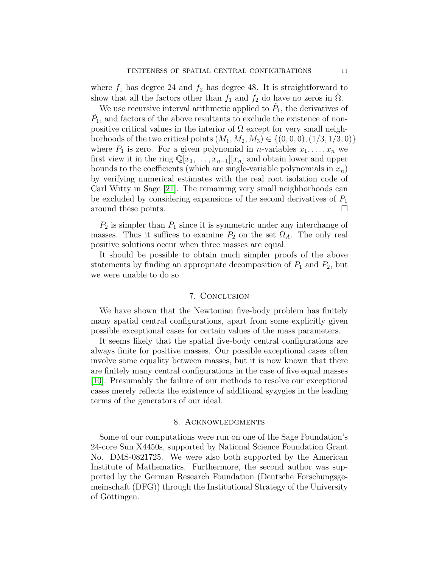where  $f_1$  has degree 24 and  $f_2$  has degree 48. It is straightforward to show that all the factors other than  $f_1$  and  $f_2$  do have no zeros in  $\Omega$ .

We use recursive interval arithmetic applied to  $\hat{P}_1$ , the derivatives of  $\hat{P}_1$ , and factors of the above resultants to exclude the existence of nonpositive critical values in the interior of  $\Omega$  except for very small neighborhoods of the two critical points  $(M_1, M_2, M_3) \in \{(0, 0, 0), (1/3, 1/3, 0)\}\$ where  $P_1$  is zero. For a given polynomial in *n*-variables  $x_1, \ldots, x_n$  we first view it in the ring  $\mathbb{Q}[x_1, \ldots, x_{n-1}][x_n]$  and obtain lower and upper bounds to the coefficients (which are single-variable polynomials in  $x_n$ ) by verifying numerical estimates with the real root isolation code of Carl Witty in Sage [\[21\]](#page-11-19). The remaining very small neighborhoods can be excluded by considering expansions of the second derivatives of  $P_1$ around these points.

 $P_2$  is simpler than  $P_1$  since it is symmetric under any interchange of masses. Thus it suffices to examine  $P_2$  on the set  $\Omega_A$ . The only real positive solutions occur when three masses are equal.

It should be possible to obtain much simpler proofs of the above statements by finding an appropriate decomposition of  $P_1$  and  $P_2$ , but we were unable to do so.

#### 7. Conclusion

We have shown that the Newtonian five-body problem has finitely many spatial central configurations, apart from some explicitly given possible exceptional cases for certain values of the mass parameters.

It seems likely that the spatial five-body central configurations are always finite for positive masses. Our possible exceptional cases often involve some equality between masses, but it is now known that there are finitely many central configurations in the case of five equal masses [\[10\]](#page-11-20). Presumably the failure of our methods to resolve our exceptional cases merely reflects the existence of additional syzygies in the leading terms of the generators of our ideal.

#### 8. Acknowledgments

Some of our computations were run on one of the Sage Foundation's 24-core Sun X4450s, supported by National Science Foundation Grant No. DMS-0821725. We were also both supported by the American Institute of Mathematics. Furthermore, the second author was supported by the German Research Foundation (Deutsche Forschungsgemeinschaft (DFG)) through the Institutional Strategy of the University of Göttingen.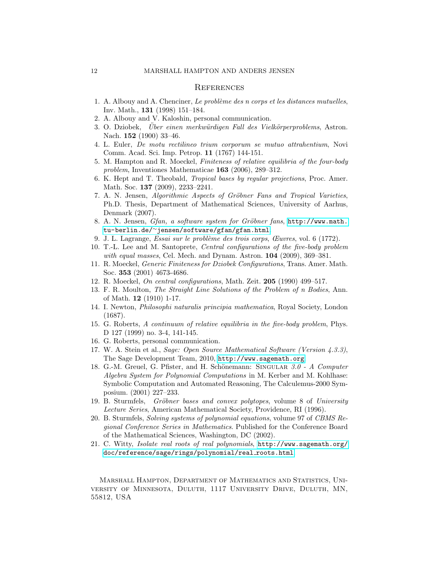# **REFERENCES**

- <span id="page-11-13"></span>1. A. Albouy and A. Chenciner, Le problème des n corps et les distances mutuelles, Inv. Math., 131 (1998) 151–184.
- <span id="page-11-7"></span>2. A. Albouy and V. Kaloshin, personal communication.
- <span id="page-11-15"></span>3. O. Dziobek, Über einen merkwürdigen Fall des Vielkörperproblems, Astron. Nach. **152** (1900) 33–46.
- <span id="page-11-1"></span>4. L. Euler, De motu rectilineo trium corporum se mutuo attrahentium, Novi Comm. Acad. Sci. Imp. Petrop. 11 (1767) 144-151.
- <span id="page-11-2"></span>5. M. Hampton and R. Moeckel, Finiteness of relative equilibria of the four-body problem, Inventiones Mathematicae 163 (2006), 289–312.
- <span id="page-11-12"></span>6. K. Hept and T. Theobald, Tropical bases by regular projections, Proc. Amer. Math. Soc. **137** (2009), 2233–2241.
- <span id="page-11-9"></span>7. A. N. Jensen, Algorithmic Aspects of Gröbner Fans and Tropical Varieties, Ph.D. Thesis, Department of Mathematical Sciences, University of Aarhus, Denmark (2007).
- <span id="page-11-10"></span>8. A. N. Jensen, Gfan, a software system for Gröbner fans, [http://www.math.](http://www.math.tu-berlin.de/~jensen/software/gfan/gfan.html) tu-berlin.de/<sup>∼</sup>[jensen/software/gfan/gfan.html](http://www.math.tu-berlin.de/~jensen/software/gfan/gfan.html).
- <span id="page-11-3"></span>9. J. L. Lagrange, Essai sur le probl`eme des trois corps, Œuvres, vol. 6 (1772).
- <span id="page-11-20"></span>10. T.-L. Lee and M. Santoprete, Central configurations of the five-body problem with equal masses, Cel. Mech. and Dynam. Astron. 104 (2009), 369-381.
- <span id="page-11-5"></span>11. R. Moeckel, Generic Finiteness for Dziobek Configurations, Trans. Amer. Math. Soc. 353 (2001) 4673-4686.
- <span id="page-11-16"></span>12. R. Moeckel, On central configurations, Math. Zeit. 205 (1990) 499–517.
- <span id="page-11-4"></span>13. F. R. Moulton, The Straight Line Solutions of the Problem of n Bodies, Ann. of Math. 12 (1910) 1-17.
- <span id="page-11-0"></span>14. I. Newton, Philosophi naturalis principia mathematica, Royal Society, London (1687).
- <span id="page-11-6"></span>15. G. Roberts, A continuum of relative equilibria in the five-body problem, Phys. D 127 (1999) no. 3-4, 141-145.
- <span id="page-11-14"></span>16. G. Roberts, personal communication.
- <span id="page-11-18"></span>17. W. A. Stein et al., Sage: Open Source Mathematical Software (Version 4.3.3), The Sage Development Team, 2010, <http://www.sagemath.org>.
- <span id="page-11-17"></span>18. G.-M. Greuel, G. Pfister, and H. Schönemann: SINGULAR  $3.0$  - A Computer Algebra System for Polynomial Computations in M. Kerber and M. Kohlhase: Symbolic Computation and Automated Reasoning, The Calculemus-2000 Symposium. (2001) 227–233.
- <span id="page-11-11"></span>19. B. Sturmfels, Gröbner bases and convex polytopes, volume 8 of University Lecture Series, American Mathematical Society, Providence, RI (1996).
- <span id="page-11-8"></span>20. B. Sturmfels, Solving systems of polynomial equations, volume 97 of CBMS Regional Conference Series in Mathematics. Published for the Conference Board of the Mathematical Sciences, Washington, DC (2002).
- <span id="page-11-19"></span>21. C. Witty, Isolate real roots of real polynomials, [http://www.sagemath.org/](http://www.sagemath.org/doc/reference/sage/rings/polynomial/real_roots.html) [doc/reference/sage/rings/polynomial/real](http://www.sagemath.org/doc/reference/sage/rings/polynomial/real_roots.html) roots.html.

Marshall Hampton, Department of Mathematics and Statistics, University of Minnesota, Duluth, 1117 University Drive, Duluth, MN, 55812, USA